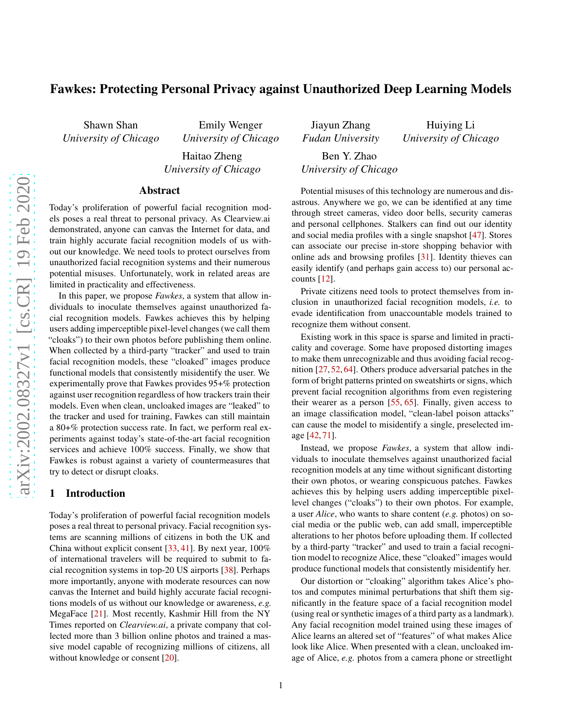# Fawkes: Protecting Personal Privacy against Unauthorized Deep Learning Models

Shawn Shan *University of Chicago*

Emily Wenger *University of Chicago*

Haitao Zheng *University of Chicago*

#### Abstract

Today's proliferation of powerful facial recognition models poses a real threat to personal privacy. As Clearview.ai demonstrated, anyone can canvas the Internet for data, and train highly accurate facial recognition models of us without our knowledge. We need tools to protect ourselves from unauthorized facial recognition systems and their numerous potential misuses. Unfortunately, work in related areas are limited in practicality and effectiveness.

In this paper, we propose *Fawkes*, a system that allow individuals to inoculate themselves against unauthorized facial recognition models. Fawkes achieves this by helping users adding imperceptible pixel-level changes (we call them "cloaks") to their own photos before publishing them online. When collected by a third-party "tracker" and used to train facial recognition models, these "cloaked" images produce functional models that consistently misidentify the user. We experimentally prove that Fawkes provides 95+% protection against user recognition regardless of how trackers train their models. Even when clean, uncloaked images are "leaked" to the tracker and used for training, Fawkes can still maintain a 80+% protection success rate. In fact, we perform real experiments against today's state-of-the-art facial recognition services and achieve 100% success. Finally, we show that Fawkes is robust against a variety of countermeasures that try to detect or disrupt cloaks.

#### 1 Introduction

Today's proliferation of powerful facial recognition models poses a real threat to personal privacy. Facial recognition systems are scanning millions of citizens in both the UK and China without explicit consent [\[33,](#page-13-0) [41\]](#page-13-1). By next year, 100% of international travelers will be required to submit to facial recognition systems in top-20 US airports [\[38\]](#page-13-2). Perhaps more importantly, anyone with moderate resources can now canvas the Internet and build highly accurate facial recognitions models of us without our knowledge or awareness, *e.g.* MegaFace [\[21\]](#page-13-3). Most recently, Kashmir Hill from the NY Times reported on *Clearview.ai*, a private company that collected more than 3 billion online photos and trained a massive model capable of recognizing millions of citizens, all without knowledge or consent [\[20\]](#page-13-4).

Jiayun Zhang *Fudan University* Ben Y. Zhao *University of Chicago*

Huiying Li *University of Chicago*

Potential misuses of this technology are numerous and disastrous. Anywhere we go, we can be identified at any time through street cameras, video door bells, security cameras and personal cellphones. Stalkers can find out our identity and social media profiles with a single snapshot [\[47\]](#page-14-0). Stores can associate our precise in-store shopping behavior with online ads and browsing profiles [\[31\]](#page-13-5). Identity thieves can easily identify (and perhaps gain access to) our personal accounts [\[12\]](#page-13-6).

Private citizens need tools to protect themselves from inclusion in unauthorized facial recognition models, *i.e.* to evade identification from unaccountable models trained to recognize them without consent.

Existing work in this space is sparse and limited in practicality and coverage. Some have proposed distorting images to make them unrecognizable and thus avoiding facial recognition [\[27,](#page-13-7) [52,](#page-14-1) [64\]](#page-14-2). Others produce adversarial patches in the form of bright patterns printed on sweatshirts or signs, which prevent facial recognition algorithms from even registering their wearer as a person [\[55,](#page-14-3) [65\]](#page-14-4). Finally, given access to an image classification model, "clean-label poison attacks" can cause the model to misidentify a single, preselected image [\[42,](#page-13-8) [71\]](#page-14-5).

Instead, we propose *Fawkes*, a system that allow individuals to inoculate themselves against unauthorized facial recognition models at any time without significant distorting their own photos, or wearing conspicuous patches. Fawkes achieves this by helping users adding imperceptible pixellevel changes ("cloaks") to their own photos. For example, a user *Alice*, who wants to share content (*e.g.* photos) on social media or the public web, can add small, imperceptible alterations to her photos before uploading them. If collected by a third-party "tracker" and used to train a facial recognition model to recognize Alice, these "cloaked" images would produce functional models that consistently misidentify her.

Our distortion or "cloaking" algorithm takes Alice's photos and computes minimal perturbations that shift them significantly in the feature space of a facial recognition model (using real or synthetic images of a third party as a landmark). Any facial recognition model trained using these images of Alice learns an altered set of "features" of what makes Alice look like Alice. When presented with a clean, uncloaked image of Alice, *e.g.* photos from a camera phone or streetlight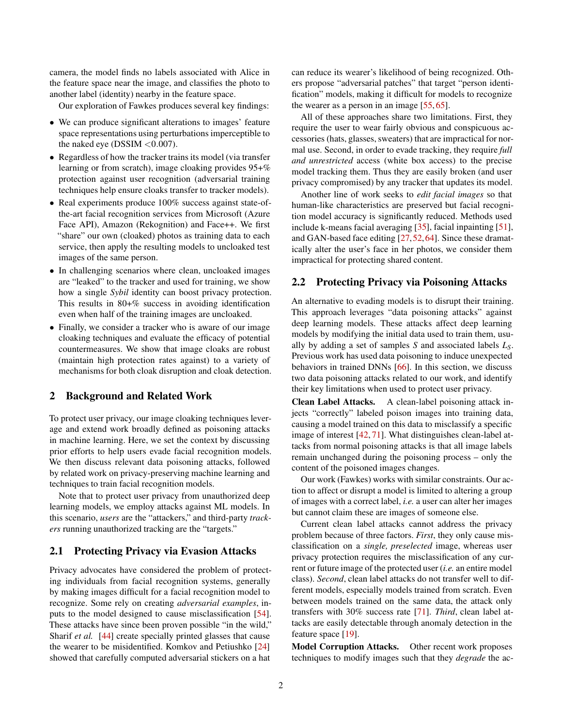camera, the model finds no labels associated with Alice in the feature space near the image, and classifies the photo to another label (identity) nearby in the feature space.

Our exploration of Fawkes produces several key findings:

- We can produce significant alterations to images' feature space representations using perturbations imperceptible to the naked eye ( $DSSIM < 0.007$ ).
- Regardless of how the tracker trains its model (via transfer learning or from scratch), image cloaking provides 95+% protection against user recognition (adversarial training techniques help ensure cloaks transfer to tracker models).
- Real experiments produce 100% success against state-ofthe-art facial recognition services from Microsoft (Azure Face API), Amazon (Rekognition) and Face++. We first "share" our own (cloaked) photos as training data to each service, then apply the resulting models to uncloaked test images of the same person.
- In challenging scenarios where clean, uncloaked images are "leaked" to the tracker and used for training, we show how a single *Sybil* identity can boost privacy protection. This results in 80+% success in avoiding identification even when half of the training images are uncloaked.
- Finally, we consider a tracker who is aware of our image cloaking techniques and evaluate the efficacy of potential countermeasures. We show that image cloaks are robust (maintain high protection rates against) to a variety of mechanisms for both cloak disruption and cloak detection.

### 2 Background and Related Work

To protect user privacy, our image cloaking techniques leverage and extend work broadly defined as poisoning attacks in machine learning. Here, we set the context by discussing prior efforts to help users evade facial recognition models. We then discuss relevant data poisoning attacks, followed by related work on privacy-preserving machine learning and techniques to train facial recognition models.

Note that to protect user privacy from unauthorized deep learning models, we employ attacks against ML models. In this scenario, *users* are the "attackers," and third-party *trackers* running unauthorized tracking are the "targets."

## 2.1 Protecting Privacy via Evasion Attacks

Privacy advocates have considered the problem of protecting individuals from facial recognition systems, generally by making images difficult for a facial recognition model to recognize. Some rely on creating *adversarial examples*, inputs to the model designed to cause misclassification [\[54\]](#page-14-6). These attacks have since been proven possible "in the wild," Sharif *et al.* [\[44\]](#page-13-9) create specially printed glasses that cause the wearer to be misidentified. Komkov and Petiushko [\[24\]](#page-13-10) showed that carefully computed adversarial stickers on a hat

can reduce its wearer's likelihood of being recognized. Others propose "adversarial patches" that target "person identification" models, making it difficult for models to recognize the wearer as a person in an image [\[55,](#page-14-3) [65\]](#page-14-4).

All of these approaches share two limitations. First, they require the user to wear fairly obvious and conspicuous accessories (hats, glasses, sweaters) that are impractical for normal use. Second, in order to evade tracking, they require *full and unrestricted* access (white box access) to the precise model tracking them. Thus they are easily broken (and user privacy compromised) by any tracker that updates its model.

Another line of work seeks to *edit facial images* so that human-like characteristics are preserved but facial recognition model accuracy is significantly reduced. Methods used include k-means facial averaging [\[35\]](#page-13-11), facial inpainting [\[51\]](#page-14-7), and GAN-based face editing [\[27,](#page-13-7)[52,](#page-14-1)[64\]](#page-14-2). Since these dramatically alter the user's face in her photos, we consider them impractical for protecting shared content.

# 2.2 Protecting Privacy via Poisoning Attacks

An alternative to evading models is to disrupt their training. This approach leverages "data poisoning attacks" against deep learning models. These attacks affect deep learning models by modifying the initial data used to train them, usually by adding a set of samples *S* and associated labels *LS*. Previous work has used data poisoning to induce unexpected behaviors in trained DNNs [\[66\]](#page-14-8). In this section, we discuss two data poisoning attacks related to our work, and identify their key limitations when used to protect user privacy.

Clean Label Attacks. A clean-label poisoning attack injects "correctly" labeled poison images into training data, causing a model trained on this data to misclassify a specific image of interest [\[42,](#page-13-8) [71\]](#page-14-5). What distinguishes clean-label attacks from normal poisoning attacks is that all image labels remain unchanged during the poisoning process – only the content of the poisoned images changes.

Our work (Fawkes) works with similar constraints. Our action to affect or disrupt a model is limited to altering a group of images with a correct label, *i.e.* a user can alter her images but cannot claim these are images of someone else.

Current clean label attacks cannot address the privacy problem because of three factors. *First*, they only cause misclassification on a *single, preselected* image, whereas user privacy protection requires the misclassification of any current or future image of the protected user (*i.e.* an entire model class). *Second*, clean label attacks do not transfer well to different models, especially models trained from scratch. Even between models trained on the same data, the attack only transfers with 30% success rate [\[71\]](#page-14-5). *Third*, clean label attacks are easily detectable through anomaly detection in the feature space [\[19\]](#page-13-12).

Model Corruption Attacks. Other recent work proposes techniques to modify images such that they *degrade* the ac-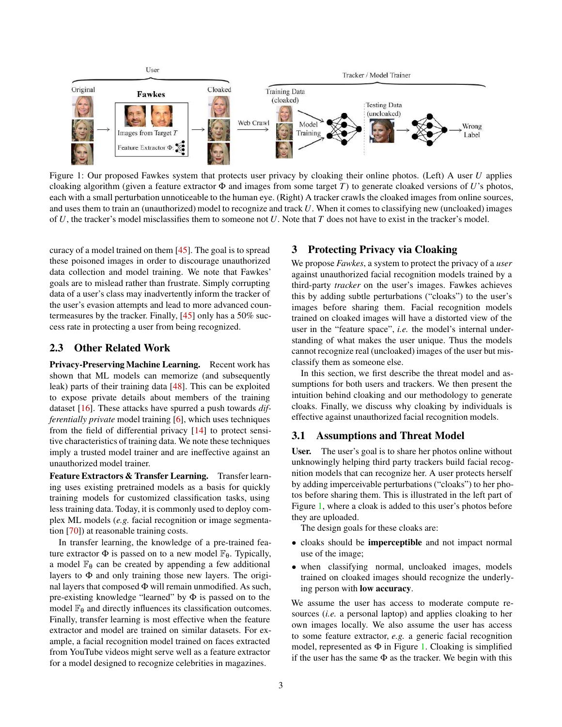<span id="page-2-0"></span>

Figure 1: Our proposed Fawkes system that protects user privacy by cloaking their online photos. (Left) A user *U* applies cloaking algorithm (given a feature extractor  $\Phi$  and images from some target *T*) to generate cloaked versions of *U*'s photos, each with a small perturbation unnoticeable to the human eye. (Right) A tracker crawls the cloaked images from online sources, and uses them to train an (unauthorized) model to recognize and track *U*. When it comes to classifying new (uncloaked) images of *U*, the tracker's model misclassifies them to someone not *U*. Note that *T* does not have to exist in the tracker's model.

curacy of a model trained on them [\[45\]](#page-13-13). The goal is to spread these poisoned images in order to discourage unauthorized data collection and model training. We note that Fawkes' goals are to mislead rather than frustrate. Simply corrupting data of a user's class may inadvertently inform the tracker of the user's evasion attempts and lead to more advanced countermeasures by the tracker. Finally, [\[45\]](#page-13-13) only has a 50% success rate in protecting a user from being recognized.

### <span id="page-2-1"></span>2.3 Other Related Work

Privacy-Preserving Machine Learning. Recent work has shown that ML models can memorize (and subsequently leak) parts of their training data [\[48\]](#page-14-9). This can be exploited to expose private details about members of the training dataset [\[16\]](#page-13-14). These attacks have spurred a push towards *differentially private* model training [\[6\]](#page-13-15), which uses techniques from the field of differential privacy [\[14\]](#page-13-16) to protect sensitive characteristics of training data. We note these techniques imply a trusted model trainer and are ineffective against an unauthorized model trainer.

Feature Extractors & Transfer Learning. Transfer learning uses existing pretrained models as a basis for quickly training models for customized classification tasks, using less training data. Today, it is commonly used to deploy complex ML models (*e.g.* facial recognition or image segmentation [\[70\]](#page-14-10)) at reasonable training costs.

In transfer learning, the knowledge of a pre-trained feature extractor  $\Phi$  is passed on to a new model  $\mathbb{F}_{\theta}$ . Typically, a model  $\mathbb{F}_{\theta}$  can be created by appending a few additional layers to Φ and only training those new layers. The original layers that composed Φ will remain unmodified. As such, pre-existing knowledge "learned" by Φ is passed on to the model  $\mathbb{F}_{\theta}$  and directly influences its classification outcomes. Finally, transfer learning is most effective when the feature extractor and model are trained on similar datasets. For example, a facial recognition model trained on faces extracted from YouTube videos might serve well as a feature extractor for a model designed to recognize celebrities in magazines.

## <span id="page-2-2"></span>3 Protecting Privacy via Cloaking

We propose *Fawkes*, a system to protect the privacy of a *user* against unauthorized facial recognition models trained by a third-party *tracker* on the user's images. Fawkes achieves this by adding subtle perturbations ("cloaks") to the user's images before sharing them. Facial recognition models trained on cloaked images will have a distorted view of the user in the "feature space", *i.e.* the model's internal understanding of what makes the user unique. Thus the models cannot recognize real (uncloaked) images of the user but misclassify them as someone else.

In this section, we first describe the threat model and assumptions for both users and trackers. We then present the intuition behind cloaking and our methodology to generate cloaks. Finally, we discuss why cloaking by individuals is effective against unauthorized facial recognition models.

### 3.1 Assumptions and Threat Model

User. The user's goal is to share her photos online without unknowingly helping third party trackers build facial recognition models that can recognize her. A user protects herself by adding imperceivable perturbations ("cloaks") to her photos before sharing them. This is illustrated in the left part of Figure [1,](#page-2-0) where a cloak is added to this user's photos before they are uploaded.

The design goals for these cloaks are:

- cloaks should be imperceptible and not impact normal use of the image;
- when classifying normal, uncloaked images, models trained on cloaked images should recognize the underlying person with low accuracy.

We assume the user has access to moderate compute resources (*i.e.* a personal laptop) and applies cloaking to her own images locally. We also assume the user has access to some feature extractor, *e.g.* a generic facial recognition model, represented as  $\Phi$  in Figure [1.](#page-2-0) Cloaking is simplified if the user has the same  $\Phi$  as the tracker. We begin with this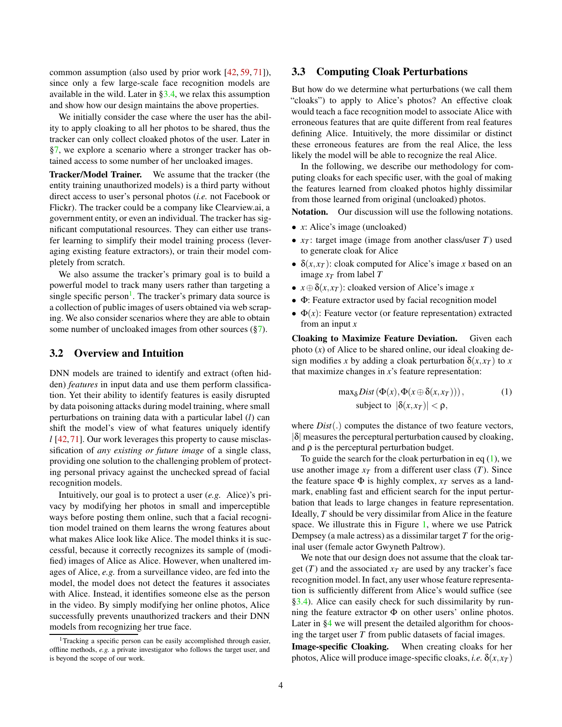common assumption (also used by prior work [\[42,](#page-13-8) [59,](#page-14-11) [71\]](#page-14-5)), since only a few large-scale face recognition models are available in the wild. Later in [§3.4,](#page-4-0) we relax this assumption and show how our design maintains the above properties.

We initially consider the case where the user has the ability to apply cloaking to all her photos to be shared, thus the tracker can only collect cloaked photos of the user. Later in [§7,](#page-9-0) we explore a scenario where a stronger tracker has obtained access to some number of her uncloaked images.

Tracker/Model Trainer. We assume that the tracker (the entity training unauthorized models) is a third party without direct access to user's personal photos (*i.e.* not Facebook or Flickr). The tracker could be a company like Clearview.ai, a government entity, or even an individual. The tracker has significant computational resources. They can either use transfer learning to simplify their model training process (leveraging existing feature extractors), or train their model completely from scratch.

We also assume the tracker's primary goal is to build a powerful model to track many users rather than targeting a single specific person<sup>[1](#page-3-0)</sup>. The tracker's primary data source is a collection of public images of users obtained via web scraping. We also consider scenarios where they are able to obtain some number of uncloaked images from other sources ([§7\)](#page-9-0).

## 3.2 Overview and Intuition

DNN models are trained to identify and extract (often hidden) *features* in input data and use them perform classification. Yet their ability to identify features is easily disrupted by data poisoning attacks during model training, where small perturbations on training data with a particular label (*l*) can shift the model's view of what features uniquely identify *l* [\[42,](#page-13-8)[71\]](#page-14-5). Our work leverages this property to cause misclassification of *any existing or future image* of a single class, providing one solution to the challenging problem of protecting personal privacy against the unchecked spread of facial recognition models.

Intuitively, our goal is to protect a user (*e.g.* Alice)'s privacy by modifying her photos in small and imperceptible ways before posting them online, such that a facial recognition model trained on them learns the wrong features about what makes Alice look like Alice. The model thinks it is successful, because it correctly recognizes its sample of (modified) images of Alice as Alice. However, when unaltered images of Alice, *e.g.* from a surveillance video, are fed into the model, the model does not detect the features it associates with Alice. Instead, it identifies someone else as the person in the video. By simply modifying her online photos, Alice successfully prevents unauthorized trackers and their DNN models from recognizing her true face.

### 3.3 Computing Cloak Perturbations

But how do we determine what perturbations (we call them "cloaks") to apply to Alice's photos? An effective cloak would teach a face recognition model to associate Alice with erroneous features that are quite different from real features defining Alice. Intuitively, the more dissimilar or distinct these erroneous features are from the real Alice, the less likely the model will be able to recognize the real Alice.

In the following, we describe our methodology for computing cloaks for each specific user, with the goal of making the features learned from cloaked photos highly dissimilar from those learned from original (uncloaked) photos.

Notation. Our discussion will use the following notations.

- *x*: Alice's image (uncloaked)
- *x<sup>T</sup>* : target image (image from another class/user *T*) used to generate cloak for Alice
- $\delta(x, x_T)$ : cloak computed for Alice's image *x* based on an image  $x_T$  from label *T*
- $x \oplus \delta(x, x)$ : cloaked version of Alice's image *x*
- Φ: Feature extractor used by facial recognition model
- $\bullet$   $\Phi(x)$ : Feature vector (or feature representation) extracted from an input *x*

Cloaking to Maximize Feature Deviation. Given each photo (*x*) of Alice to be shared online, our ideal cloaking design modifies *x* by adding a cloak perturbation  $\delta(x, x_T)$  to *x* that maximize changes in *x*'s feature representation:

<span id="page-3-1"></span>
$$
\max_{\delta} Dist(\Phi(x), \Phi(x \oplus \delta(x, x_T))), \qquad (1)
$$
\n
$$
\text{subject to } |\delta(x, x_T)| < \rho,
$$

where *Dist*(.) computes the distance of two feature vectors,  $|\delta|$  measures the perceptural perturbation caused by cloaking, and  $\rho$  is the perceptural perturbation budget.

To guide the search for the cloak perturbation in eq  $(1)$ , we use another image  $x_T$  from a different user class  $(T)$ . Since the feature space  $\Phi$  is highly complex,  $x_T$  serves as a landmark, enabling fast and efficient search for the input perturbation that leads to large changes in feature representation. Ideally, *T* should be very dissimilar from Alice in the feature space. We illustrate this in Figure [1,](#page-2-0) where we use Patrick Dempsey (a male actress) as a dissimilar target *T* for the original user (female actor Gwyneth Paltrow).

We note that our design does not assume that the cloak target  $(T)$  and the associated  $x_T$  are used by any tracker's face recognition model. In fact, any user whose feature representation is sufficiently different from Alice's would suffice (see [§3.4\)](#page-4-0). Alice can easily check for such dissimilarity by running the feature extractor  $\Phi$  on other users' online photos. Later in [§4](#page-4-1) we will present the detailed algorithm for choosing the target user *T* from public datasets of facial images. Image-specific Cloaking. When creating cloaks for her photos, Alice will produce image-specific cloaks, *i.e.*  $\delta(x, x_T)$ 

<span id="page-3-0"></span><sup>&</sup>lt;sup>1</sup>Tracking a specific person can be easily accomplished through easier, offline methods, *e.g.* a private investigator who follows the target user, and is beyond the scope of our work.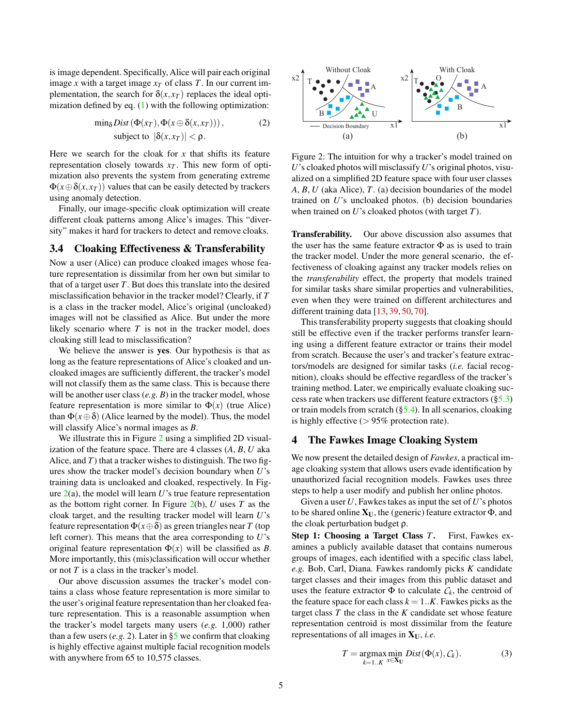is image dependent. Specifically, Alice will pair each original image *x* with a target image  $x<sub>T</sub>$  of class *T*. In our current implementation, the search for  $\delta(x, x_T)$  replaces the ideal optimization defined by eq. [\(1\)](#page-3-1) with the following optimization:

<span id="page-4-3"></span>
$$
\min_{\delta} Dist(\Phi(x_T), \Phi(x \oplus \delta(x, x_T))), \qquad (2)
$$
\n
$$
\text{subject to } |\delta(x, x_T)| < \rho.
$$

Here we search for the cloak for *x* that shifts its feature representation closely towards  $x<sub>T</sub>$ . This new form of optimization also prevents the system from generating extreme  $\Phi(x \oplus \delta(x, x_T))$  values that can be easily detected by trackers using anomaly detection.

Finally, our image-specific cloak optimization will create different cloak patterns among Alice's images. This "diversity" makes it hard for trackers to detect and remove cloaks.

### <span id="page-4-0"></span>3.4 Cloaking Effectiveness & Transferability

Now a user (Alice) can produce cloaked images whose feature representation is dissimilar from her own but similar to that of a target user *T*. But does this translate into the desired misclassification behavior in the tracker model? Clearly, if *T* is a class in the tracker model, Alice's original (uncloaked) images will not be classified as Alice. But under the more likely scenario where *T* is not in the tracker model, does cloaking still lead to misclassification?

We believe the answer is yes. Our hypothesis is that as long as the feature representations of Alice's cloaked and uncloaked images are sufficiently different, the tracker's model will not classify them as the same class. This is because there will be another user class (*e.g. B*) in the tracker model, whose feature representation is more similar to  $\Phi(x)$  (true Alice) than  $\Phi(x \oplus \delta)$  (Alice learned by the model). Thus, the model will classify Alice's normal images as *B*.

We illustrate this in Figure [2](#page-4-2) using a simplified 2D visualization of the feature space. There are 4 classes (*A*, *B*, *U* aka Alice, and *T*) that a tracker wishes to distinguish. The two figures show the tracker model's decision boundary when *U*'s training data is uncloaked and cloaked, respectively. In Figure  $2(a)$  $2(a)$ , the model will learn *U*'s true feature representation as the bottom right corner. In Figure [2\(](#page-4-2)b), *U* uses *T* as the cloak target, and the resulting tracker model will learn *U*'s feature representation  $\Phi(x \oplus \delta)$  as green triangles near *T* (top left corner). This means that the area corresponding to *U*'s original feature representation  $\Phi(x)$  will be classified as *B*. More importantly, this (mis)classification will occur whether or not *T* is a class in the tracker's model.

Our above discussion assumes the tracker's model contains a class whose feature representation is more similar to the user's original feature representation than her cloaked feature representation. This is a reasonable assumption when the tracker's model targets many users (*e.g.* 1,000) rather than a few users  $(e.g. 2)$ . Later in  $\S$ <sup>5</sup> we confirm that cloaking is highly effective against multiple facial recognition models with anywhere from 65 to 10,575 classes.

<span id="page-4-2"></span>

Figure 2: The intuition for why a tracker's model trained on *U*'s cloaked photos will misclassify *U*'s original photos, visualized on a simplified 2D feature space with four user classes *A*, *B*, *U* (aka Alice), *T*. (a) decision boundaries of the model trained on *U*'s uncloaked photos. (b) decision boundaries when trained on *U*'s cloaked photos (with target *T*).

Transferability. Our above discussion also assumes that the user has the same feature extractor  $\Phi$  as is used to train the tracker model. Under the more general scenario, the effectiveness of cloaking against any tracker models relies on the *transferability* effect, the property that models trained for similar tasks share similar properties and vulnerabilities, even when they were trained on different architectures and different training data [\[13,](#page-13-17) [39,](#page-13-18) [50,](#page-14-12) [70\]](#page-14-10).

This transferability property suggests that cloaking should still be effective even if the tracker performs transfer learning using a different feature extractor or trains their model from scratch. Because the user's and tracker's feature extractors/models are designed for similar tasks (*i.e.* facial recognition), cloaks should be effective regardless of the tracker's training method. Later, we empirically evaluate cloaking success rate when trackers use different feature extractors ([§5.3\)](#page-6-0) or train models from scratch  $(\S5.4)$ . In all scenarios, cloaking is highly effective  $(> 95\%$  protection rate).

#### <span id="page-4-1"></span>4 The Fawkes Image Cloaking System

We now present the detailed design of *Fawkes*, a practical image cloaking system that allows users evade identification by unauthorized facial recognition models. Fawkes uses three steps to help a user modify and publish her online photos.

Given a user*U*, Fawkes takes as input the set of*U*'s photos to be shared online  $X_U$ , the (generic) feature extractor  $\Phi$ , and the cloak perturbation budget ρ.

Step 1: Choosing a Target Class *T*. First, Fawkes examines a publicly available dataset that contains numerous groups of images, each identified with a specific class label, *e.g.* Bob, Carl, Diana. Fawkes randomly picks *K* candidate target classes and their images from this public dataset and uses the feature extractor  $\Phi$  to calculate  $C_k$ , the centroid of the feature space for each class  $k = 1..K$ . Fawkes picks as the target class *T* the class in the *K* candidate set whose feature representation centroid is most dissimilar from the feature representations of all images in XU, *i.e.*

$$
T = \underset{k=1..K}{\text{argmax min}} \; Dist(\Phi(x), C_k). \tag{3}
$$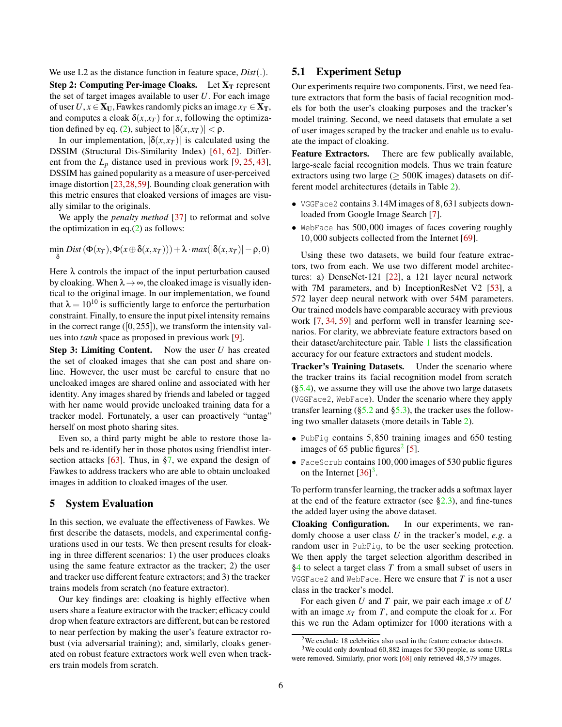We use L2 as the distance function in feature space, *Dist*(.). Step 2: Computing Per-image Cloaks. Let  $X_T$  represent the set of target images available to user *U*. For each image of user  $U, x \in X_U$ , Fawkes randomly picks an image  $x_T \in X_T$ , and computes a cloak  $\delta(x, x_T)$  for *x*, following the optimiza-tion defined by eq. [\(2\)](#page-4-3), subject to  $|\delta(x, x_T)| < \rho$ .

In our implementation,  $|\delta(x, x_T)|$  is calculated using the DSSIM (Structural Dis-Similarity Index) [\[61,](#page-14-13) [62\]](#page-14-14). Different from the  $L_p$  distance used in previous work  $[9, 25, 43]$  $[9, 25, 43]$  $[9, 25, 43]$  $[9, 25, 43]$  $[9, 25, 43]$ , DSSIM has gained popularity as a measure of user-perceived image distortion [\[23,](#page-13-22)[28,](#page-13-23)[59\]](#page-14-11). Bounding cloak generation with this metric ensures that cloaked versions of images are visually similar to the originals.

We apply the *penalty method* [\[37\]](#page-13-24) to reformat and solve the optimization in eq. $(2)$  as follows:

 $\min_{\mathbf{x}} \text{Dist}(\Phi(x_T), \Phi(x \oplus \delta(x, x_T))) + \lambda \cdot \max(|\delta(x, x_T)| - \rho, 0)$ δ

Here  $\lambda$  controls the impact of the input perturbation caused by cloaking. When  $\lambda \rightarrow \infty$ , the cloaked image is visually identical to the original image. In our implementation, we found that  $\lambda = 10^{10}$  is sufficiently large to enforce the perturbation constraint. Finally, to ensure the input pixel intensity remains in the correct range  $([0, 255])$ , we transform the intensity values into *tanh* space as proposed in previous work [\[9\]](#page-13-19).

Step 3: Limiting Content. Now the user *U* has created the set of cloaked images that she can post and share online. However, the user must be careful to ensure that no uncloaked images are shared online and associated with her identity. Any images shared by friends and labeled or tagged with her name would provide uncloaked training data for a tracker model. Fortunately, a user can proactively "untag" herself on most photo sharing sites.

Even so, a third party might be able to restore those labels and re-identify her in those photos using friendlist intersection attacks [\[63\]](#page-14-15). Thus, in [§7,](#page-9-0) we expand the design of Fawkes to address trackers who are able to obtain uncloaked images in addition to cloaked images of the user.

## <span id="page-5-0"></span>5 System Evaluation

In this section, we evaluate the effectiveness of Fawkes. We first describe the datasets, models, and experimental configurations used in our tests. We then present results for cloaking in three different scenarios: 1) the user produces cloaks using the same feature extractor as the tracker; 2) the user and tracker use different feature extractors; and 3) the tracker trains models from scratch (no feature extractor).

Our key findings are: cloaking is highly effective when users share a feature extractor with the tracker; efficacy could drop when feature extractors are different, but can be restored to near perfection by making the user's feature extractor robust (via adversarial training); and, similarly, cloaks generated on robust feature extractors work well even when trackers train models from scratch.

## 5.1 Experiment Setup

Our experiments require two components. First, we need feature extractors that form the basis of facial recognition models for both the user's cloaking purposes and the tracker's model training. Second, we need datasets that emulate a set of user images scraped by the tracker and enable us to evaluate the impact of cloaking.

Feature Extractors. There are few publically available, large-scale facial recognition models. Thus we train feature extractors using two large ( $\geq$  500K images) datasets on different model architectures (details in Table [2\)](#page-6-1).

- VGGFace2 contains 3.14M images of 8,631 subjects downloaded from Google Image Search [\[7\]](#page-13-25).
- WebFace has 500,000 images of faces covering roughly 10,000 subjects collected from the Internet [\[69\]](#page-14-16).

Using these two datasets, we build four feature extractors, two from each. We use two different model architectures: a) DenseNet-121 [\[22\]](#page-13-26), a 121 layer neural network with 7M parameters, and b) InceptionResNet V2 [\[53\]](#page-14-17), a 572 layer deep neural network with over 54M parameters. Our trained models have comparable accuracy with previous work [\[7,](#page-13-25) [34,](#page-13-27) [59\]](#page-14-11) and perform well in transfer learning scenarios. For clarity, we abbreviate feature extractors based on their dataset/architecture pair. Table [1](#page-6-2) lists the classification accuracy for our feature extractors and student models.

Tracker's Training Datasets. Under the scenario where the tracker trains its facial recognition model from scratch  $(\S5.4)$ , we assume they will use the above two large datasets (VGGFace2, WebFace). Under the scenario where they apply transfer learning  $(\S5.2 \text{ and } \S5.3)$ , the tracker uses the following two smaller datasets (more details in Table [2\)](#page-6-1).

- PubFig contains 5,850 training images and 650 testing images of 65 public figures<sup>[2](#page-5-1)</sup> [\[5\]](#page-13-28).
- FaceScrub contains 100,000 images of 530 public figures on the Internet  $[36]^3$  $[36]^3$  $[36]^3$ .

To perform transfer learning, the tracker adds a softmax layer at the end of the feature extractor (see  $\S 2.3$ ), and fine-tunes the added layer using the above dataset.

Cloaking Configuration. In our experiments, we randomly choose a user class *U* in the tracker's model, *e.g.* a random user in PubFig, to be the user seeking protection. We then apply the target selection algorithm described in [§4](#page-4-1) to select a target class *T* from a small subset of users in VGGFace2 and WebFace. Here we ensure that *T* is not a user class in the tracker's model.

For each given *U* and *T* pair, we pair each image *x* of *U* with an image  $x_T$  from T, and compute the cloak for x. For this we run the Adam optimizer for 1000 iterations with a

<span id="page-5-1"></span> $2$ We exclude 18 celebrities also used in the feature extractor datasets.

<span id="page-5-2"></span><sup>3</sup>We could only download 60,882 images for 530 people, as some URLs were removed. Similarly, prior work [\[68\]](#page-14-18) only retrieved 48,579 images.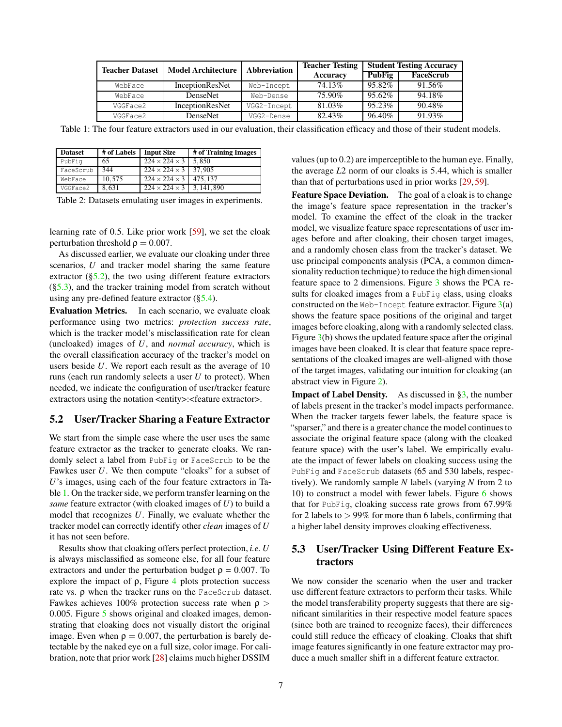<span id="page-6-2"></span>

| <b>Teacher Dataset</b> | <b>Model Architecture</b> | <b>Abbreviation</b> | <b>Teacher Testing</b> | <b>Student Testing Accuracy</b> |           |
|------------------------|---------------------------|---------------------|------------------------|---------------------------------|-----------|
|                        |                           |                     | Accuracy               | <b>PubFig</b>                   | FaceScrub |
| WebFace                | <b>InceptionResNet</b>    | Web-Incept          | 74.13%                 | 95.82%                          | 91.56%    |
| WebFace                | <b>DenseNet</b>           | Web-Dense           | 75.90%                 | 95.62%                          | 94.18%    |
| VGGFace2               | InceptionResNet           | VGG2-Incept         | 81.03%                 | 95.23%                          | 90.48%    |
| VGGFace2               | <b>DenseNet</b>           | VGG2-Dense          | 82.43%                 | 96.40%                          | 91.93%    |

Table 1: The four feature extractors used in our evaluation, their classification efficacy and those of their student models.

<span id="page-6-1"></span>

| <b>Dataset</b> | # of Labels | <b>Input Size</b>                   | # of Training Images |
|----------------|-------------|-------------------------------------|----------------------|
| PubFiq         | 65          | $224 \times 224 \times 3$           | 5.850                |
| FaceScrub      | 344         | $224 \times 224 \times 3$ 37,905    |                      |
| WebFace        | 10.575      | $224 \times 224 \times 3$   475.137 |                      |
| VGGFace2       | 8.631       | $224 \times 224 \times 3$           | 3.141.890            |

Table 2: Datasets emulating user images in experiments.

learning rate of 0.5. Like prior work [\[59\]](#page-14-11), we set the cloak perturbation threshold  $\rho = 0.007$ .

As discussed earlier, we evaluate our cloaking under three scenarios, *U* and tracker model sharing the same feature extractor  $(\S5.2)$ , the two using different feature extractors  $(\S5.3)$ , and the tracker training model from scratch without using any pre-defined feature extractor ([§5.4\)](#page-7-0).

Evaluation Metrics. In each scenario, we evaluate cloak performance using two metrics: *protection success rate*, which is the tracker model's misclassification rate for clean (uncloaked) images of *U*, and *normal accuracy*, which is the overall classification accuracy of the tracker's model on users beside *U*. We report each result as the average of 10 runs (each run randomly selects a user *U* to protect). When needed, we indicate the configuration of user/tracker feature extractors using the notation <entity>:<feature extractor>.

### <span id="page-6-3"></span>5.2 User/Tracker Sharing a Feature Extractor

We start from the simple case where the user uses the same feature extractor as the tracker to generate cloaks. We randomly select a label from PubFig or FaceScrub to be the Fawkes user *U*. We then compute "cloaks" for a subset of *U*'s images, using each of the four feature extractors in Table [1.](#page-6-2) On the tracker side, we perform transfer learning on the *same* feature extractor (with cloaked images of *U*) to build a model that recognizes *U*. Finally, we evaluate whether the tracker model can correctly identify other *clean* images of *U* it has not seen before.

Results show that cloaking offers perfect protection, *i.e. U* is always misclassified as someone else, for all four feature extractors and under the perturbation budget  $\rho = 0.007$ . To explore the impact of  $\rho$ , Figure [4](#page-7-1) plots protection success rate vs. ρ when the tracker runs on the FaceScrub dataset. Fawkes achieves 100% protection success rate when  $\rho >$ 0.005. Figure [5](#page-7-2) shows original and cloaked images, demonstrating that cloaking does not visually distort the original image. Even when  $\rho = 0.007$ , the perturbation is barely detectable by the naked eye on a full size, color image. For calibration, note that prior work [\[28\]](#page-13-23) claims much higher DSSIM

values (up to 0.2) are imperceptible to the human eye. Finally, the average *L*2 norm of our cloaks is 5.44, which is smaller than that of perturbations used in prior works [\[29,](#page-13-30) [59\]](#page-14-11).

Feature Space Deviation. The goal of a cloak is to change the image's feature space representation in the tracker's model. To examine the effect of the cloak in the tracker model, we visualize feature space representations of user images before and after cloaking, their chosen target images, and a randomly chosen class from the tracker's dataset. We use principal components analysis (PCA, a common dimensionality reduction technique) to reduce the high dimensional feature space to 2 dimensions. Figure [3](#page-7-1) shows the PCA results for cloaked images from a PubFig class, using cloaks constructed on the Web-Incept feature extractor. Figure  $3(a)$  $3(a)$ shows the feature space positions of the original and target images before cloaking, along with a randomly selected class. Figure [3\(](#page-7-1)b) shows the updated feature space after the original images have been cloaked. It is clear that feature space representations of the cloaked images are well-aligned with those of the target images, validating our intuition for cloaking (an abstract view in Figure [2\)](#page-4-2).

**Impact of Label Density.** As discussed in  $\S3$ , the number of labels present in the tracker's model impacts performance. When the tracker targets fewer labels, the feature space is "sparser," and there is a greater chance the model continuesto associate the original feature space (along with the cloaked feature space) with the user's label. We empirically evaluate the impact of fewer labels on cloaking success using the PubFig and FaceScrub datasets (65 and 530 labels, respectively). We randomly sample *N* labels (varying *N* from 2 to 10) to construct a model with fewer labels. Figure [6](#page-8-0) shows that for PubFig, cloaking success rate grows from 67.99% for 2 labels to  $> 99\%$  for more than 6 labels, confirming that a higher label density improves cloaking effectiveness.

# <span id="page-6-0"></span>5.3 User/Tracker Using Different Feature Extractors

We now consider the scenario when the user and tracker use different feature extractors to perform their tasks. While the model transferability property suggests that there are significant similarities in their respective model feature spaces (since both are trained to recognize faces), their differences could still reduce the efficacy of cloaking. Cloaks that shift image features significantly in one feature extractor may produce a much smaller shift in a different feature extractor.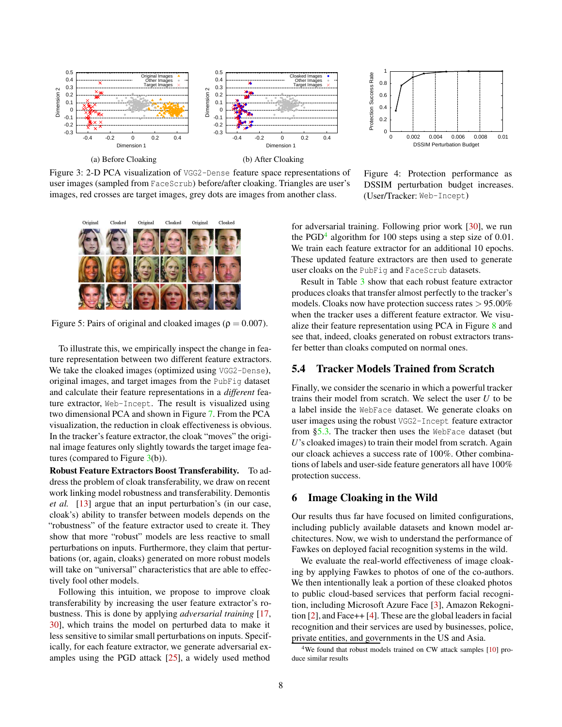<span id="page-7-1"></span>

 1 Protection Success Rate Protection Success Rate 0.8 0.6 0.4  $0.2$  0 0 0.002 0.004 0.006 0.008 0.01 DSSIM Perturbation Budge

Figure 3: 2-D PCA visualization of VGG2-Dense feature space representations of user images (sampled from FaceScrub) before/after cloaking. Triangles are user's images, red crosses are target images, grey dots are images from another class.

Figure 4: Protection performance as DSSIM perturbation budget increases. (User/Tracker: Web-Incept)

<span id="page-7-2"></span>

Figure 5: Pairs of original and cloaked images ( $\rho = 0.007$ ).

To illustrate this, we empirically inspect the change in feature representation between two different feature extractors. We take the cloaked images (optimized using VGG2-Dense), original images, and target images from the PubFig dataset and calculate their feature representations in a *different* feature extractor, Web-Incept. The result is visualized using two dimensional PCA and shown in Figure [7.](#page-8-0) From the PCA visualization, the reduction in cloak effectiveness is obvious. In the tracker's feature extractor, the cloak "moves" the original image features only slightly towards the target image features (compared to Figure [3\(](#page-7-1)b)).

Robust Feature Extractors Boost Transferability. To address the problem of cloak transferability, we draw on recent work linking model robustness and transferability. Demontis *et al.* [\[13\]](#page-13-17) argue that an input perturbation's (in our case, cloak's) ability to transfer between models depends on the "robustness" of the feature extractor used to create it. They show that more "robust" models are less reactive to small perturbations on inputs. Furthermore, they claim that perturbations (or, again, cloaks) generated on more robust models will take on "universal" characteristics that are able to effectively fool other models.

Following this intuition, we propose to improve cloak transferability by increasing the user feature extractor's robustness. This is done by applying *adversarial training* [\[17,](#page-13-31) [30\]](#page-13-32), which trains the model on perturbed data to make it less sensitive to similar small perturbations on inputs. Specifically, for each feature extractor, we generate adversarial examples using the PGD attack [\[25\]](#page-13-20), a widely used method

for adversarial training. Following prior work [\[30\]](#page-13-32), we run the PGD<sup>[4](#page-7-3)</sup> algorithm for 100 steps using a step size of 0.01. We train each feature extractor for an additional 10 epochs. These updated feature extractors are then used to generate user cloaks on the PubFig and FaceScrub datasets.

Result in Table [3](#page-8-1) show that each robust feature extractor produces cloaks that transfer almost perfectly to the tracker's models. Cloaks now have protection success rates > 95.00% when the tracker uses a different feature extractor. We visualize their feature representation using PCA in Figure [8](#page-8-0) and see that, indeed, cloaks generated on robust extractors transfer better than cloaks computed on normal ones.

## <span id="page-7-0"></span>5.4 Tracker Models Trained from Scratch

Finally, we consider the scenario in which a powerful tracker trains their model from scratch. We select the user *U* to be a label inside the WebFace dataset. We generate cloaks on user images using the robust VGG2-Incept feature extractor from [§5.3.](#page-6-0) The tracker then uses the WebFace dataset (but *U*'s cloaked images) to train their model from scratch. Again our cloack achieves a success rate of 100%. Other combinations of labels and user-side feature generators all have 100% protection success.

#### 6 Image Cloaking in the Wild

Our results thus far have focused on limited configurations, including publicly available datasets and known model architectures. Now, we wish to understand the performance of Fawkes on deployed facial recognition systems in the wild.

We evaluate the real-world effectiveness of image cloaking by applying Fawkes to photos of one of the co-authors. We then intentionally leak a portion of these cloaked photos to public cloud-based services that perform facial recognition, including Microsoft Azure Face [\[3\]](#page-13-33), Amazon Rekognition [\[2\]](#page-12-0), and Face++ [\[4\]](#page-13-34). These are the global leaders in facial recognition and their services are used by businesses, police, private entities, and governments in the US and Asia.

<span id="page-7-3"></span><sup>4</sup>We found that robust models trained on CW attack samples [\[10\]](#page-13-35) produce similar results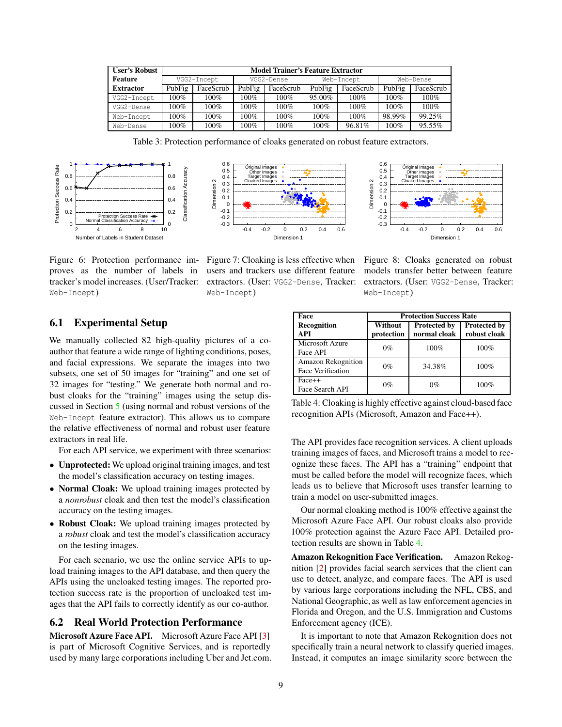<span id="page-8-1"></span>

| <b>User's Robust</b> | <b>Model Trainer's Feature Extractor</b> |             |         |            |         |            |         |           |
|----------------------|------------------------------------------|-------------|---------|------------|---------|------------|---------|-----------|
| <b>Feature</b>       |                                          | VGG2-Incept |         | VGG2-Dense |         | Web-Incept |         | Web-Dense |
| <b>Extractor</b>     | PubFig                                   | FaceScrub   | PubFig  | FaceScrub  | PubFig  | FaceScrub  | PubFig  | FaceScrub |
| VGG2-Incept          | 100%                                     | $100\%$     | $100\%$ | $100\%$    | 95.00%  | $100\%$    | $100\%$ | $100\%$   |
| VGG2-Dense           | 100%                                     | $100\%$     | $100\%$ | $100\%$    | $100\%$ | 100%       | $100\%$ | 100%      |
| Web-Incept           | 100%                                     | $100\%$     | 100%    | 100%       | 100%    | 100%       | 98.99%  | 99.25%    |
| Web-Dense            | 100%                                     | $100\%$     | 100%    | 100%       | 100%    | 96.81%     | 100%    | $95.55\%$ |

Table 3: Protection performance of cloaks generated on robust feature extractors.

<span id="page-8-0"></span>





Figure 6: Protection performance im- Figure 7: Cloaking is less effective when proves as the number of labels in tracker's model increases. (User/Tracker: Web-Incept)

users and trackers use different feature extractors. (User: VGG2-Dense, Tracker: Web-Incept)

Figure 8: Cloaks generated on robust models transfer better between feature extractors. (User: VGG2-Dense, Tracker: Web-Incept)

## 6.1 Experimental Setup

We manually collected 82 high-quality pictures of a coauthor that feature a wide range of lighting conditions, poses, and facial expressions. We separate the images into two subsets, one set of 50 images for "training" and one set of 32 images for "testing." We generate both normal and robust cloaks for the "training" images using the setup discussed in Section [5](#page-5-0) (using normal and robust versions of the Web-Incept feature extractor). This allows us to compare the relative effectiveness of normal and robust user feature extractors in real life.

For each API service, we experiment with three scenarios:

- Unprotected: We upload original training images, and test the model's classification accuracy on testing images.
- Normal Cloak: We upload training images protected by a *nonrobust* cloak and then test the model's classification accuracy on the testing images.
- Robust Cloak: We upload training images protected by a *robust* cloak and test the model's classification accuracy on the testing images.

For each scenario, we use the online service APIs to upload training images to the API database, and then query the APIs using the uncloaked testing images. The reported protection success rate is the proportion of uncloaked test images that the API fails to correctly identify as our co-author.

### 6.2 Real World Protection Performance

Microsoft Azure Face API. Microsoft Azure Face API [\[3\]](#page-13-33) is part of Microsoft Cognitive Services, and is reportedly used by many large corporations including Uber and Jet.com.

<span id="page-8-2"></span>

| Face                        | <b>Protection Success Rate</b> |                     |                     |  |  |
|-----------------------------|--------------------------------|---------------------|---------------------|--|--|
| Recognition                 | Without                        | <b>Protected by</b> | <b>Protected by</b> |  |  |
| API                         | protection                     | normal cloak        | robust cloak        |  |  |
| Microsoft Azure<br>Face API | $0\%$                          | 100%                | 100%                |  |  |
| Amazon Rekognition          |                                |                     |                     |  |  |
| Face Verification           | $0\%$                          | 34.38%              | 100%                |  |  |
| $Face++$                    | $0\%$                          | $0\%$               | 100%                |  |  |
| Face Search API             |                                |                     |                     |  |  |

Table 4: Cloaking is highly effective against cloud-based face recognition APIs (Microsoft, Amazon and Face++).

The API provides face recognition services. A client uploads training images of faces, and Microsoft trains a model to recognize these faces. The API has a "training" endpoint that must be called before the model will recognize faces, which leads us to believe that Microsoft uses transfer learning to train a model on user-submitted images.

Our normal cloaking method is 100% effective against the Microsoft Azure Face API. Our robust cloaks also provide 100% protection against the Azure Face API. Detailed protection results are shown in Table [4.](#page-8-2)

Amazon Rekognition Face Verification. Amazon Rekognition [\[2\]](#page-12-0) provides facial search services that the client can use to detect, analyze, and compare faces. The API is used by various large corporations including the NFL, CBS, and National Geographic, as well as law enforcement agencies in Florida and Oregon, and the U.S. Immigration and Customs Enforcement agency (ICE).

It is important to note that Amazon Rekognition does not specifically train a neural network to classify queried images. Instead, it computes an image similarity score between the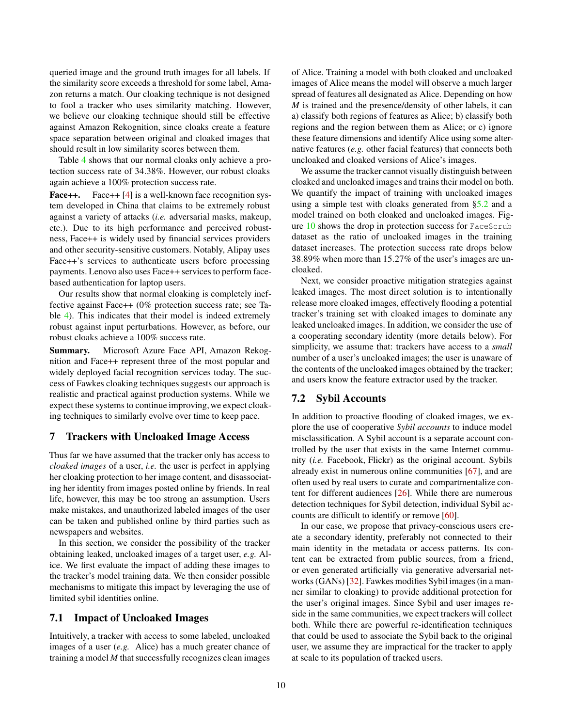queried image and the ground truth images for all labels. If the similarity score exceeds a threshold for some label, Amazon returns a match. Our cloaking technique is not designed to fool a tracker who uses similarity matching. However, we believe our cloaking technique should still be effective against Amazon Rekognition, since cloaks create a feature space separation between original and cloaked images that should result in low similarity scores between them.

Table [4](#page-8-2) shows that our normal cloaks only achieve a protection success rate of 34.38%. However, our robust cloaks again achieve a 100% protection success rate.

Face++. Face++ [\[4\]](#page-13-34) is a well-known face recognition system developed in China that claims to be extremely robust against a variety of attacks (*i.e.* adversarial masks, makeup, etc.). Due to its high performance and perceived robustness, Face++ is widely used by financial services providers and other security-sensitive customers. Notably, Alipay uses Face++'s services to authenticate users before processing payments. Lenovo also uses Face++ services to perform facebased authentication for laptop users.

Our results show that normal cloaking is completely ineffective against Face++ (0% protection success rate; see Table [4\)](#page-8-2). This indicates that their model is indeed extremely robust against input perturbations. However, as before, our robust cloaks achieve a 100% success rate.

Summary. Microsoft Azure Face API, Amazon Rekognition and Face++ represent three of the most popular and widely deployed facial recognition services today. The success of Fawkes cloaking techniques suggests our approach is realistic and practical against production systems. While we expect these systems to continue improving, we expect cloaking techniques to similarly evolve over time to keep pace.

### <span id="page-9-0"></span>7 Trackers with Uncloaked Image Access

Thus far we have assumed that the tracker only has access to *cloaked images* of a user, *i.e.* the user is perfect in applying her cloaking protection to her image content, and disassociating her identity from images posted online by friends. In real life, however, this may be too strong an assumption. Users make mistakes, and unauthorized labeled images of the user can be taken and published online by third parties such as newspapers and websites.

In this section, we consider the possibility of the tracker obtaining leaked, uncloaked images of a target user, *e.g.* Alice. We first evaluate the impact of adding these images to the tracker's model training data. We then consider possible mechanisms to mitigate this impact by leveraging the use of limited sybil identities online.

## 7.1 Impact of Uncloaked Images

Intuitively, a tracker with access to some labeled, uncloaked images of a user (*e.g.* Alice) has a much greater chance of training a model *M* that successfully recognizes clean images

of Alice. Training a model with both cloaked and uncloaked images of Alice means the model will observe a much larger spread of features all designated as Alice. Depending on how *M* is trained and the presence/density of other labels, it can a) classify both regions of features as Alice; b) classify both regions and the region between them as Alice; or c) ignore these feature dimensions and identify Alice using some alternative features (*e.g.* other facial features) that connects both uncloaked and cloaked versions of Alice's images.

We assume the tracker cannot visually distinguish between cloaked and uncloaked images and trains their model on both. We quantify the impact of training with uncloaked images using a simple test with cloaks generated from [§5.2](#page-6-3) and a model trained on both cloaked and uncloaked images. Figure [10](#page-11-0) shows the drop in protection success for FaceScrub dataset as the ratio of uncloaked images in the training dataset increases. The protection success rate drops below 38.89% when more than 15.27% of the user's images are uncloaked.

Next, we consider proactive mitigation strategies against leaked images. The most direct solution is to intentionally release more cloaked images, effectively flooding a potential tracker's training set with cloaked images to dominate any leaked uncloaked images. In addition, we consider the use of a cooperating secondary identity (more details below). For simplicity, we assume that: trackers have access to a *small* number of a user's uncloaked images; the user is unaware of the contents of the uncloaked images obtained by the tracker; and users know the feature extractor used by the tracker.

## 7.2 Sybil Accounts

In addition to proactive flooding of cloaked images, we explore the use of cooperative *Sybil accounts* to induce model misclassification. A Sybil account is a separate account controlled by the user that exists in the same Internet community (*i.e.* Facebook, Flickr) as the original account. Sybils already exist in numerous online communities [\[67\]](#page-14-19), and are often used by real users to curate and compartmentalize content for different audiences [\[26\]](#page-13-36). While there are numerous detection techniques for Sybil detection, individual Sybil accounts are difficult to identify or remove [\[60\]](#page-14-20).

In our case, we propose that privacy-conscious users create a secondary identity, preferably not connected to their main identity in the metadata or access patterns. Its content can be extracted from public sources, from a friend, or even generated artificially via generative adversarial networks (GANs) [\[32\]](#page-13-37). Fawkes modifies Sybil images (in a manner similar to cloaking) to provide additional protection for the user's original images. Since Sybil and user images reside in the same communities, we expect trackers will collect both. While there are powerful re-identification techniques that could be used to associate the Sybil back to the original user, we assume they are impractical for the tracker to apply at scale to its population of tracked users.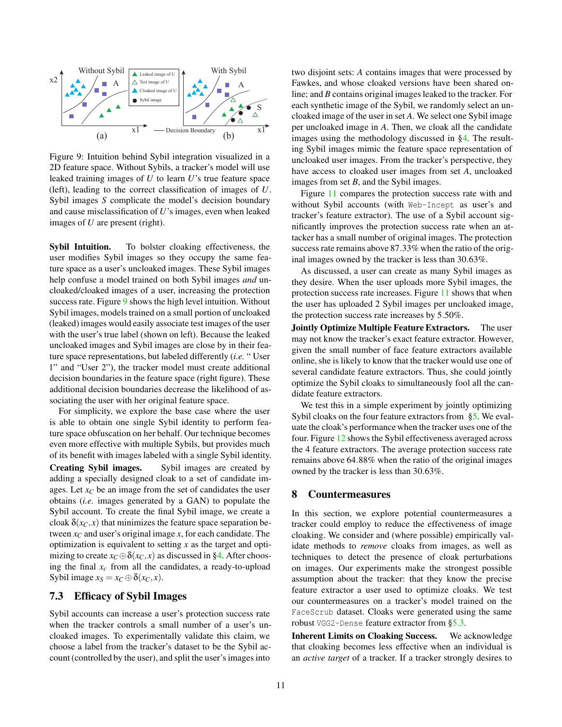<span id="page-10-0"></span>

Figure 9: Intuition behind Sybil integration visualized in a 2D feature space. Without Sybils, a tracker's model will use leaked training images of *U* to learn *U*'s true feature space (left), leading to the correct classification of images of *U*. Sybil images *S* complicate the model's decision boundary and cause misclassification of *U*'s images, even when leaked images of *U* are present (right).

Sybil Intuition. To bolster cloaking effectiveness, the user modifies Sybil images so they occupy the same feature space as a user's uncloaked images. These Sybil images help confuse a model trained on both Sybil images *and* uncloaked/cloaked images of a user, increasing the protection success rate. Figure [9](#page-10-0) shows the high level intuition. Without Sybil images, models trained on a small portion of uncloaked (leaked) images would easily associate test images of the user with the user's true label (shown on left). Because the leaked uncloaked images and Sybil images are close by in their feature space representations, but labeled differently (*i.e.* " User 1" and "User 2"), the tracker model must create additional decision boundaries in the feature space (right figure). These additional decision boundaries decrease the likelihood of associating the user with her original feature space.

For simplicity, we explore the base case where the user is able to obtain one single Sybil identity to perform feature space obfuscation on her behalf. Our technique becomes even more effective with multiple Sybils, but provides much of its benefit with images labeled with a single Sybil identity. Creating Sybil images. Sybil images are created by adding a specially designed cloak to a set of candidate images. Let  $x_C$  be an image from the set of candidates the user obtains (*i.e.* images generated by a GAN) to populate the Sybil account. To create the final Sybil image, we create a cloak  $\delta(x_C, x)$  that minimizes the feature space separation between  $x_C$  and user's original image  $x$ , for each candidate. The optimization is equivalent to setting *x* as the target and optimizing to create  $x_C \oplus \delta(x_C, x)$  as discussed in [§4.](#page-4-1) After choosing the final  $x_c$  from all the candidates, a ready-to-upload Sybil image  $x_S = x_C \oplus \delta(x_C, x)$ .

# 7.3 Efficacy of Sybil Images

Sybil accounts can increase a user's protection success rate when the tracker controls a small number of a user's uncloaked images. To experimentally validate this claim, we choose a label from the tracker's dataset to be the Sybil account (controlled by the user), and split the user's images into

two disjoint sets: *A* contains images that were processed by Fawkes, and whose cloaked versions have been shared online; and *B* contains original images leaked to the tracker. For each synthetic image of the Sybil, we randomly select an uncloaked image of the user in set *A*. We select one Sybil image per uncloaked image in *A*. Then, we cloak all the candidate images using the methodology discussed in [§4.](#page-4-1) The resulting Sybil images mimic the feature space representation of uncloaked user images. From the tracker's perspective, they have access to cloaked user images from set *A*, uncloaked images from set *B*, and the Sybil images.

Figure [11](#page-11-0) compares the protection success rate with and without Sybil accounts (with Web-Incept as user's and tracker's feature extractor). The use of a Sybil account significantly improves the protection success rate when an attacker has a small number of original images. The protection success rate remains above 87.33% when the ratio of the original images owned by the tracker is less than 30.63%.

As discussed, a user can create as many Sybil images as they desire. When the user uploads more Sybil images, the protection success rate increases. Figure [11](#page-11-0) shows that when the user has uploaded 2 Sybil images per uncloaked image, the protection success rate increases by 5.50%.

Jointly Optimize Multiple Feature Extractors. The user may not know the tracker's exact feature extractor. However, given the small number of face feature extractors available online, she is likely to know that the tracker would use one of several candidate feature extractors. Thus, she could jointly optimize the Sybil cloaks to simultaneously fool all the candidate feature extractors.

We test this in a simple experiment by jointly optimizing Sybil cloaks on the four feature extractors from [§5.](#page-5-0) We evaluate the cloak's performance when the tracker uses one of the four. Figure [12](#page-11-0) shows the Sybil effectiveness averaged across the 4 feature extractors. The average protection success rate remains above 64.88% when the ratio of the original images owned by the tracker is less than 30.63%.

### 8 Countermeasures

In this section, we explore potential countermeasures a tracker could employ to reduce the effectiveness of image cloaking. We consider and (where possible) empirically validate methods to *remove* cloaks from images, as well as techniques to detect the presence of cloak perturbations on images. Our experiments make the strongest possible assumption about the tracker: that they know the precise feature extractor a user used to optimize cloaks. We test our countermeasures on a tracker's model trained on the FaceScrub dataset. Cloaks were generated using the same robust VGG2-Dense feature extractor from [§5.3.](#page-6-0)

Inherent Limits on Cloaking Success. We acknowledge that cloaking becomes less effective when an individual is an *active target* of a tracker. If a tracker strongly desires to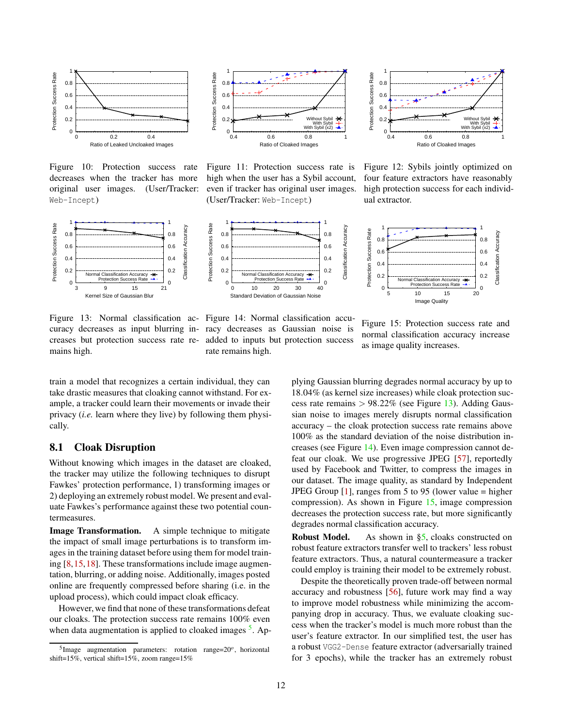<span id="page-11-0"></span>

Figure 10: Protection success rate decreases when the tracker has more original user images. (User/Tracker: Web-Incept)

<span id="page-11-2"></span>

Figure 13: Normal classification ac-Figure 14: Normal classification accucuracy decreases as input blurring in-racy decreases as Gaussian noise is creases but protection success rate re-added to inputs but protection success mains high.



Figure 11: Protection success rate is high when the user has a Sybil account, even if tracker has original user images. (User/Tracker: Web-Incept)



rate remains high.



Figure 12: Sybils jointly optimized on four feature extractors have reasonably high protection success for each individual extractor.



Figure 15: Protection success rate and normal classification accuracy increase as image quality increases.

train a model that recognizes a certain individual, they can take drastic measures that cloaking cannot withstand. For example, a tracker could learn their movements or invade their privacy (*i.e.* learn where they live) by following them physically.

### 8.1 Cloak Disruption

Without knowing which images in the dataset are cloaked, the tracker may utilize the following techniques to disrupt Fawkes' protection performance, 1) transforming images or 2) deploying an extremely robust model. We present and evaluate Fawkes's performance against these two potential countermeasures.

Image Transformation. A simple technique to mitigate the impact of small image perturbations is to transform images in the training dataset before using them for model training [\[8,](#page-13-38)[15,](#page-13-39)[18\]](#page-13-40). These transformations include image augmentation, blurring, or adding noise. Additionally, images posted online are frequently compressed before sharing (i.e. in the upload process), which could impact cloak efficacy.

However, we find that none of these transformations defeat our cloaks. The protection success rate remains 100% even when data augmentation is applied to cloaked images <sup>[5](#page-11-1)</sup>. Applying Gaussian blurring degrades normal accuracy by up to 18.04% (as kernel size increases) while cloak protection success rate remains  $> 98.22\%$  (see Figure [13\)](#page-11-2). Adding Gaussian noise to images merely disrupts normal classification accuracy – the cloak protection success rate remains above 100% as the standard deviation of the noise distribution increases (see Figure [14\)](#page-11-2). Even image compression cannot defeat our cloak. We use progressive JPEG [\[57\]](#page-14-21), reportedly used by Facebook and Twitter, to compress the images in our dataset. The image quality, as standard by Independent JPEG Group  $[1]$ , ranges from 5 to 95 (lower value = higher compression). As shown in Figure [15,](#page-11-2) image compression decreases the protection success rate, but more significantly degrades normal classification accuracy.

Robust Model. As shown in [§5,](#page-5-0) cloaks constructed on robust feature extractors transfer well to trackers' less robust feature extractors. Thus, a natural countermeasure a tracker could employ is training their model to be extremely robust.

Despite the theoretically proven trade-off between normal accuracy and robustness [\[56\]](#page-14-22), future work may find a way to improve model robustness while minimizing the accompanying drop in accuracy. Thus, we evaluate cloaking success when the tracker's model is much more robust than the user's feature extractor. In our simplified test, the user has a robust VGG2-Dense feature extractor (adversarially trained for 3 epochs), while the tracker has an extremely robust

<span id="page-11-1"></span> $5$ Image augmentation parameters: rotation range= $20^\circ$ , horizontal shift=15%, vertical shift=15%, zoom range=15%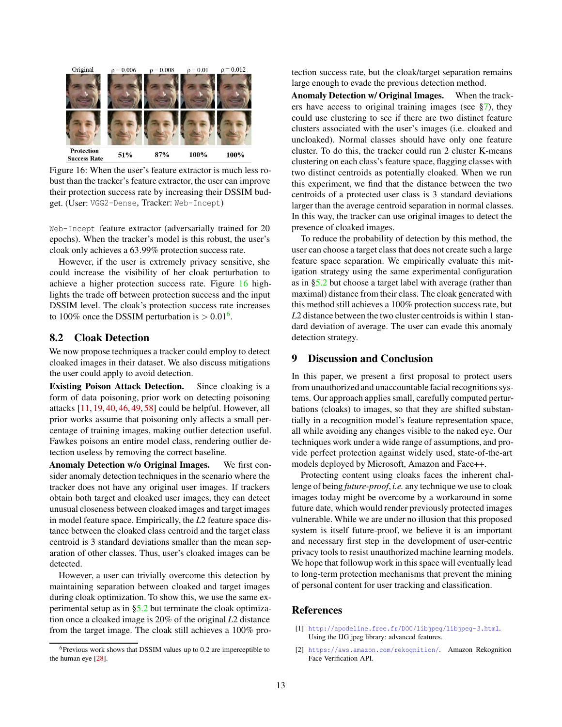<span id="page-12-2"></span>

Figure 16: When the user's feature extractor is much less robust than the tracker's feature extractor, the user can improve their protection success rate by increasing their DSSIM budget. (User: VGG2-Dense, Tracker: Web-Incept)

Web-Incept feature extractor (adversarially trained for 20 epochs). When the tracker's model is this robust, the user's cloak only achieves a 63.99% protection success rate.

However, if the user is extremely privacy sensitive, she could increase the visibility of her cloak perturbation to achieve a higher protection success rate. Figure [16](#page-12-2) highlights the trade off between protection success and the input DSSIM level. The cloak's protection success rate increases to 100% once the DSSIM perturbation is  $> 0.01^6$  $> 0.01^6$ .

# 8.2 Cloak Detection

We now propose techniques a tracker could employ to detect cloaked images in their dataset. We also discuss mitigations the user could apply to avoid detection.

Existing Poison Attack Detection. Since cloaking is a form of data poisoning, prior work on detecting poisoning attacks [\[11,](#page-13-41) [19,](#page-13-12) [40,](#page-13-42) [46,](#page-13-43) [49,](#page-14-23) [58\]](#page-14-24) could be helpful. However, all prior works assume that poisoning only affects a small percentage of training images, making outlier detection useful. Fawkes poisons an entire model class, rendering outlier detection useless by removing the correct baseline.

Anomaly Detection w/o Original Images. We first consider anomaly detection techniques in the scenario where the tracker does not have any original user images. If trackers obtain both target and cloaked user images, they can detect unusual closeness between cloaked images and target images in model feature space. Empirically, the *L*2 feature space distance between the cloaked class centroid and the target class centroid is 3 standard deviations smaller than the mean separation of other classes. Thus, user's cloaked images can be detected.

However, a user can trivially overcome this detection by maintaining separation between cloaked and target images during cloak optimization. To show this, we use the same experimental setup as in [§5.2](#page-6-3) but terminate the cloak optimization once a cloaked image is 20% of the original *L*2 distance from the target image. The cloak still achieves a 100% protection success rate, but the cloak/target separation remains large enough to evade the previous detection method.

Anomaly Detection w/ Original Images. When the trackers have access to original training images (see [§7\)](#page-9-0), they could use clustering to see if there are two distinct feature clusters associated with the user's images (i.e. cloaked and uncloaked). Normal classes should have only one feature cluster. To do this, the tracker could run 2 cluster K-means clustering on each class's feature space, flagging classes with two distinct centroids as potentially cloaked. When we run this experiment, we find that the distance between the two centroids of a protected user class is 3 standard deviations larger than the average centroid separation in normal classes. In this way, the tracker can use original images to detect the presence of cloaked images.

To reduce the probability of detection by this method, the user can choose a target class that does not create such a large feature space separation. We empirically evaluate this mitigation strategy using the same experimental configuration as in [§5.2](#page-6-3) but choose a target label with average (rather than maximal) distance from their class. The cloak generated with this method still achieves a 100% protection success rate, but *L*2 distance between the two cluster centroids is within 1 standard deviation of average. The user can evade this anomaly detection strategy.

## 9 Discussion and Conclusion

In this paper, we present a first proposal to protect users from unauthorized and unaccountable facial recognitions systems. Our approach applies small, carefully computed perturbations (cloaks) to images, so that they are shifted substantially in a recognition model's feature representation space, all while avoiding any changes visible to the naked eye. Our techniques work under a wide range of assumptions, and provide perfect protection against widely used, state-of-the-art models deployed by Microsoft, Amazon and Face++.

Protecting content using cloaks faces the inherent challenge of being *future-proof*, *i.e.* any technique we use to cloak images today might be overcome by a workaround in some future date, which would render previously protected images vulnerable. While we are under no illusion that this proposed system is itself future-proof, we believe it is an important and necessary first step in the development of user-centric privacy tools to resist unauthorized machine learning models. We hope that followup work in this space will eventually lead to long-term protection mechanisms that prevent the mining of personal content for user tracking and classification.

## <span id="page-12-1"></span>References

- [1] <http://apodeline.free.fr/DOC/libjpeg/libjpeg-3.html>. Using the IJG jpeg library: advanced features.
- <span id="page-12-0"></span>[2] <https://aws.amazon.com/rekognition/>. Amazon Rekognition Face Verification API.

<span id="page-12-3"></span> $6$ Previous work shows that DSSIM values up to 0.2 are imperceptible to the human eye [\[28\]](#page-13-23).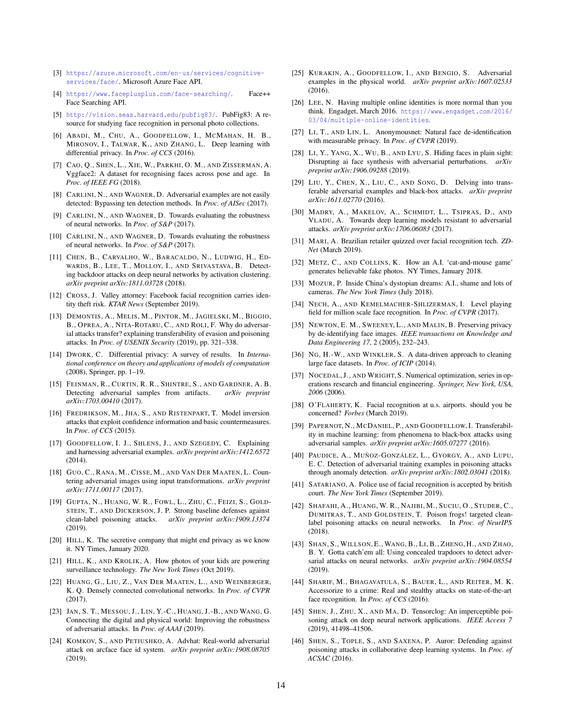- <span id="page-13-34"></span><span id="page-13-33"></span>[3] [https://azure.microsoft.com/en-us/services/cognitive](https://azure.microsoft.com/en-us/services/cognitive-services/face/)[services/face/](https://azure.microsoft.com/en-us/services/cognitive-services/face/). Microsoft Azure Face API.
- [4] <https://www.faceplusplus.com/face-searching/>. Face++ Face Searching API.
- <span id="page-13-28"></span>[5] <http://vision.seas.harvard.edu/pubfig83/>. PubFig83: A resource for studying face recognition in personal photo collections.
- <span id="page-13-15"></span>[6] ABADI, M., CHU, A., GOODFELLOW, I., MCMAHAN, H. B., MIRONOV, I., TALWAR, K., AND ZHANG, L. Deep learning with differential privacy. In *Proc. of CCS* (2016).
- <span id="page-13-25"></span>[7] CAO, Q., SHEN, L., XIE, W., PARKHI, O. M., AND ZISSERMAN, A. Vggface2: A dataset for recognising faces across pose and age. In *Proc. of IEEE FG* (2018).
- <span id="page-13-38"></span>[8] CARLINI, N., AND WAGNER, D. Adversarial examples are not easily detected: Bypassing ten detection methods. In *Proc. of AISec* (2017).
- <span id="page-13-19"></span>[9] CARLINI, N., AND WAGNER, D. Towards evaluating the robustness of neural networks. In *Proc. of S&P* (2017).
- <span id="page-13-35"></span>[10] CARLINI, N., AND WAGNER, D. Towards evaluating the robustness of neural networks. In *Proc. of S&P* (2017).
- <span id="page-13-41"></span>[11] CHEN, B., CARVALHO, W., BARACALDO, N., LUDWIG, H., ED-WARDS, B., LEE, T., MOLLOY, I., AND SRIVASTAVA, B. Detecting backdoor attacks on deep neural networks by activation clustering. *arXiv preprint arXiv:1811.03728* (2018).
- <span id="page-13-6"></span>[12] CROSS, J. Valley attorney: Facebook facial recognition carries identity theft risk. *KTAR News* (September 2019).
- <span id="page-13-17"></span>[13] DEMONTIS, A., MELIS, M., PINTOR, M., JAGIELSKI, M., BIGGIO, B., OPREA, A., NITA-ROTARU, C., AND ROLI, F. Why do adversarial attacks transfer? explaining transferability of evasion and poisoning attacks. In *Proc. of USENIX Security* (2019), pp. 321–338.
- <span id="page-13-16"></span>[14] DWORK, C. Differential privacy: A survey of results. In *International conference on theory and applications of models of computation* (2008), Springer, pp. 1–19.
- <span id="page-13-39"></span>[15] FEINMAN, R., CURTIN, R. R., SHINTRE, S., AND GARDNER, A. B. Detecting adversarial samples from artifacts. *arXiv preprint arXiv:1703.00410* (2017).
- <span id="page-13-14"></span>[16] FREDRIKSON, M., JHA, S., AND RISTENPART, T. Model inversion attacks that exploit confidence information and basic countermeasures. In *Proc. of CCS* (2015).
- <span id="page-13-31"></span>[17] GOODFELLOW, I. J., SHLENS, J., AND SZEGEDY, C. Explaining and harnessing adversarial examples. *arXiv preprint arXiv:1412.6572* (2014).
- <span id="page-13-40"></span>[18] GUO, C., RANA, M., CISSE, M., AND VAN DER MAATEN, L. Countering adversarial images using input transformations. *arXiv preprint arXiv:1711.00117* (2017).
- <span id="page-13-12"></span>[19] GUPTA, N., HUANG, W. R., FOWL, L., ZHU, C., FEIZI, S., GOLD-STEIN, T., AND DICKERSON, J. P. Strong baseline defenses against clean-label poisoning attacks. *arXiv preprint arXiv:1909.13374* (2019).
- <span id="page-13-4"></span>[20] HILL, K. The secretive company that might end privacy as we know it. NY Times, January 2020.
- <span id="page-13-3"></span>[21] HILL, K., AND KROLIK, A. How photos of your kids are powering surveillance technology. *The New York Times* (Oct 2019).
- <span id="page-13-26"></span>[22] HUANG, G., LIU, Z., VAN DER MAATEN, L., AND WEINBERGER, K. Q. Densely connected convolutional networks. In *Proc. of CVPR* (2017).
- <span id="page-13-22"></span>[23] JAN, S. T., MESSOU, J., LIN, Y.-C., HUANG, J.-B., AND WANG, G. Connecting the digital and physical world: Improving the robustness of adversarial attacks. In *Proc. of AAAI* (2019).
- <span id="page-13-10"></span>[24] KOMKOV, S., AND PETIUSHKO, A. Advhat: Real-world adversarial attack on arcface face id system. *arXiv preprint arXiv:1908.08705* (2019).
- <span id="page-13-20"></span>[25] KURAKIN, A., GOODFELLOW, I., AND BENGIO, S. Adversarial examples in the physical world. *arXiv preprint arXiv:1607.02533* (2016).
- <span id="page-13-36"></span>[26] LEE, N. Having multiple online identities is more normal than you think. Engadget, March 2016. [https://www.engadget.com/2016/](https://www.engadget.com/2016/03/04/multiple-online-identities) [03/04/multiple-online-identities](https://www.engadget.com/2016/03/04/multiple-online-identities).
- <span id="page-13-7"></span>[27] LI, T., AND LIN, L. Anonymousnet: Natural face de-identification with measurable privacy. In *Proc. of CVPR* (2019).
- <span id="page-13-23"></span>[28] LI, Y., YANG, X., WU, B., AND LYU, S. Hiding faces in plain sight: Disrupting ai face synthesis with adversarial perturbations. *arXiv preprint arXiv:1906.09288* (2019).
- <span id="page-13-30"></span>[29] LIU, Y., CHEN, X., LIU, C., AND SONG, D. Delving into transferable adversarial examples and black-box attacks. *arXiv preprint arXiv:1611.02770* (2016).
- <span id="page-13-32"></span>[30] MADRY, A., MAKELOV, A., SCHMIDT, L., TSIPRAS, D., AND VLADU, A. Towards deep learning models resistant to adversarial attacks. *arXiv preprint arXiv:1706.06083* (2017).
- <span id="page-13-5"></span>[31] MARI, A. Brazilian retailer quizzed over facial recognition tech. *ZD-Net* (March 2019).
- <span id="page-13-37"></span>[32] METZ, C., AND COLLINS, K. How an A.I. 'cat-and-mouse game' generates believable fake photos. NY Times, January 2018.
- <span id="page-13-0"></span>[33] MOZUR, P. Inside China's dystopian dreams: A.I., shame and lots of cameras. *The New York Times* (July 2018).
- <span id="page-13-27"></span>[34] NECH, A., AND KEMELMACHER-SHLIZERMAN, I. Level playing field for million scale face recognition. In *Proc. of CVPR* (2017).
- <span id="page-13-11"></span>[35] NEWTON, E. M., SWEENEY, L., AND MALIN, B. Preserving privacy by de-identifying face images. *IEEE transactions on Knowledge and Data Engineering 17*, 2 (2005), 232–243.
- <span id="page-13-29"></span>[36] NG, H.-W., AND WINKLER, S. A data-driven approach to cleaning large face datasets. In *Proc. of ICIP* (2014).
- <span id="page-13-24"></span>[37] NOCEDAL, J., AND WRIGHT, S. Numerical optimization, series in operations research and financial engineering. *Springer, New York, USA, 2006* (2006).
- <span id="page-13-2"></span>[38] O'FLAHERTY, K. Facial recognition at u.s. airports. should you be concerned? *Forbes* (March 2019).
- <span id="page-13-18"></span>[39] PAPERNOT, N., MCDANIEL, P., AND GOODFELLOW, I. Transferability in machine learning: from phenomena to black-box attacks using adversarial samples. *arXiv preprint arXiv:1605.07277* (2016).
- <span id="page-13-42"></span>[40] PAUDICE, A., MUÑOZ-GONZÁLEZ, L., GYORGY, A., AND LUPU, E. C. Detection of adversarial training examples in poisoning attacks through anomaly detection. *arXiv preprint arXiv:1802.03041* (2018).
- <span id="page-13-1"></span>[41] SATARIANO, A. Police use of facial recognition is accepted by british court. *The New York Times* (September 2019).
- <span id="page-13-8"></span>[42] SHAFAHI, A., HUANG, W. R., NAJIBI, M., SUCIU, O., STUDER, C., DUMITRAS, T., AND GOLDSTEIN, T. Poison frogs! targeted cleanlabel poisoning attacks on neural networks. In *Proc. of NeurIPS* (2018).
- <span id="page-13-21"></span>[43] SHAN, S., WILLSON, E., WANG, B., LI, B., ZHENG, H., AND ZHAO, B. Y. Gotta catch'em all: Using concealed trapdoors to detect adversarial attacks on neural networks. *arXiv preprint arXiv:1904.08554* (2019).
- <span id="page-13-9"></span>[44] SHARIF, M., BHAGAVATULA, S., BAUER, L., AND REITER, M. K. Accessorize to a crime: Real and stealthy attacks on state-of-the-art face recognition. In *Proc. of CCS* (2016).
- <span id="page-13-13"></span>[45] SHEN, J., ZHU, X., AND MA, D. Tensorclog: An imperceptible poisoning attack on deep neural network applications. *IEEE Access 7* (2019), 41498–41506.
- <span id="page-13-43"></span>[46] SHEN, S., TOPLE, S., AND SAXENA, P. Auror: Defending against poisoning attacks in collaborative deep learning systems. In *Proc. of ACSAC* (2016).